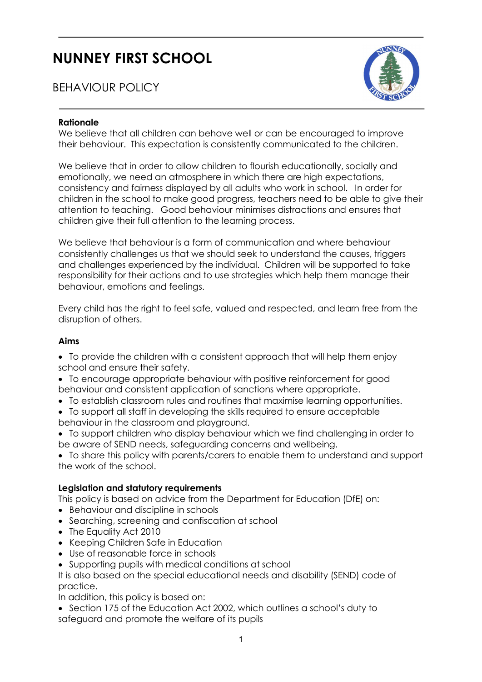# NUNNEY FIRST SCHOOL

# BEHAVIOUR POLICY



#### Rationale

We believe that all children can behave well or can be encouraged to improve their behaviour. This expectation is consistently communicated to the children.

We believe that in order to allow children to flourish educationally, socially and emotionally, we need an atmosphere in which there are high expectations, consistency and fairness displayed by all adults who work in school. In order for children in the school to make good progress, teachers need to be able to give their attention to teaching. Good behaviour minimises distractions and ensures that children give their full attention to the learning process.

We believe that behaviour is a form of communication and where behaviour consistently challenges us that we should seek to understand the causes, triggers and challenges experienced by the individual. Children will be supported to take responsibility for their actions and to use strategies which help them manage their behaviour, emotions and feelings.

Every child has the right to feel safe, valued and respected, and learn free from the disruption of others.

# Aims

- To provide the children with a consistent approach that will help them enjoy school and ensure their safety.
- To encourage appropriate behaviour with positive reinforcement for good behaviour and consistent application of sanctions where appropriate.
- To establish classroom rules and routines that maximise learning opportunities.
- To support all staff in developing the skills required to ensure acceptable behaviour in the classroom and playground.
- To support children who display behaviour which we find challenging in order to be aware of SEND needs, safeguarding concerns and wellbeing.

 To share this policy with parents/carers to enable them to understand and support the work of the school.

# Legislation and statutory requirements

This policy is based on advice from the Department for Education (DfE) on:

- Behaviour and discipline in schools
- Searching, screening and confiscation at school
- The Equality Act 2010
- Keeping Children Safe in Education
- Use of reasonable force in schools
- Supporting pupils with medical conditions at school

It is also based on the special educational needs and disability (SEND) code of practice.

In addition, this policy is based on:

- Section 175 of the Education Act 2002, which outlines a school's duty to
- safeguard and promote the welfare of its pupils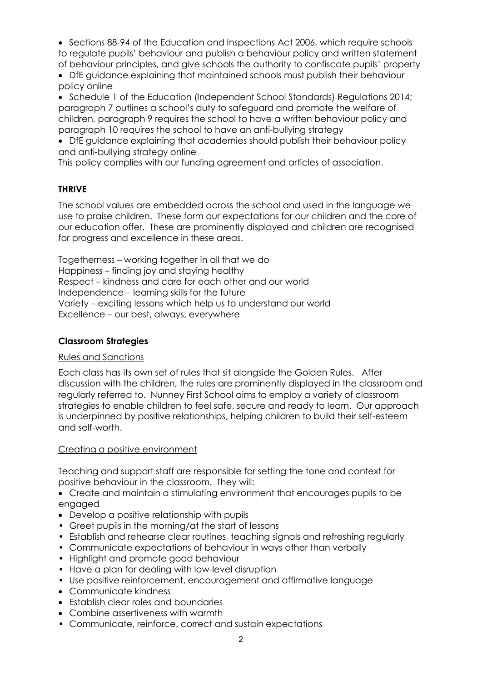• Sections 88-94 of the Education and Inspections Act 2006, which require schools to regulate pupils' behaviour and publish a behaviour policy and written statement of behaviour principles, and give schools the authority to confiscate pupils' property

 DfE guidance explaining that maintained schools must publish their behaviour policy online

• Schedule 1 of the Education (Independent School Standards) Regulations 2014; paragraph 7 outlines a school's duty to safeguard and promote the welfare of children, paragraph 9 requires the school to have a written behaviour policy and paragraph 10 requires the school to have an anti-bullying strategy

 DfE guidance explaining that academies should publish their behaviour policy and anti-bullying strategy online

This policy complies with our funding agreement and articles of association.

# THRIVE

The school values are embedded across the school and used in the language we use to praise children. These form our expectations for our children and the core of our education offer. These are prominently displayed and children are recognised for progress and excellence in these areas.

Togetherness – working together in all that we do Happiness – finding joy and staying healthy Respect – kindness and care for each other and our world Independence – learning skills for the future Variety – exciting lessons which help us to understand our world Excellence – our best, always, everywhere

# Classroom Strategies

# Rules and Sanctions

Each class has its own set of rules that sit alongside the Golden Rules. After discussion with the children, the rules are prominently displayed in the classroom and regularly referred to. Nunney First School aims to employ a variety of classroom strategies to enable children to feel safe, secure and ready to learn. Our approach is underpinned by positive relationships, helping children to build their self-esteem and self-worth.

# Creating a positive environment

Teaching and support staff are responsible for setting the tone and context for positive behaviour in the classroom. They will:

- Create and maintain a stimulating environment that encourages pupils to be engaged
- Develop a positive relationship with pupils
- Greet pupils in the morning/at the start of lessons
- Establish and rehearse clear routines, teaching signals and refreshing regularly
- Communicate expectations of behaviour in ways other than verbally
- Highlight and promote good behaviour
- Have a plan for dealing with low-level disruption
- Use positive reinforcement, encouragement and affirmative language
- Communicate kindness
- Establish clear roles and boundaries
- Combine assertiveness with warmth
- Communicate, reinforce, correct and sustain expectations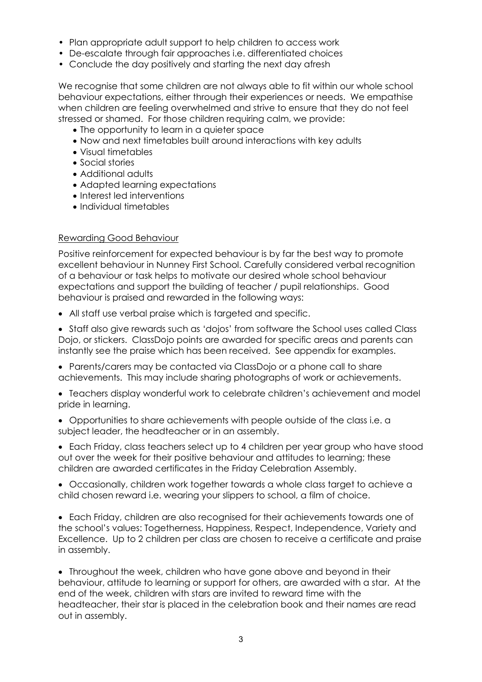- Plan appropriate adult support to help children to access work
- De-escalate through fair approaches i.e. differentiated choices
- Conclude the day positively and starting the next day afresh

We recognise that some children are not always able to fit within our whole school behaviour expectations, either through their experiences or needs. We empathise when children are feeling overwhelmed and strive to ensure that they do not feel stressed or shamed. For those children requiring calm, we provide:

- The opportunity to learn in a quieter space
- Now and next timetables built around interactions with key adults
- Visual timetables
- Social stories
- Additional adults
- Adapted learning expectations
- Interest led interventions
- Individual timetables

#### Rewarding Good Behaviour

Positive reinforcement for expected behaviour is by far the best way to promote excellent behaviour in Nunney First School. Carefully considered verbal recognition of a behaviour or task helps to motivate our desired whole school behaviour expectations and support the building of teacher / pupil relationships. Good behaviour is praised and rewarded in the following ways:

All staff use verbal praise which is targeted and specific.

• Staff also give rewards such as 'dojos' from software the School uses called Class Dojo, or stickers. ClassDojo points are awarded for specific areas and parents can instantly see the praise which has been received. See appendix for examples.

 Parents/carers may be contacted via ClassDojo or a phone call to share achievements. This may include sharing photographs of work or achievements.

 Teachers display wonderful work to celebrate children's achievement and model pride in learning.

 Opportunities to share achievements with people outside of the class i.e. a subject leader, the headteacher or in an assembly.

 Each Friday, class teachers select up to 4 children per year group who have stood out over the week for their positive behaviour and attitudes to learning; these children are awarded certificates in the Friday Celebration Assembly.

 Occasionally, children work together towards a whole class target to achieve a child chosen reward i.e. wearing your slippers to school, a film of choice.

 Each Friday, children are also recognised for their achievements towards one of the school's values: Togetherness, Happiness, Respect, Independence, Variety and Excellence. Up to 2 children per class are chosen to receive a certificate and praise in assembly.

 Throughout the week, children who have gone above and beyond in their behaviour, attitude to learning or support for others, are awarded with a star. At the end of the week, children with stars are invited to reward time with the headteacher, their star is placed in the celebration book and their names are read out in assembly.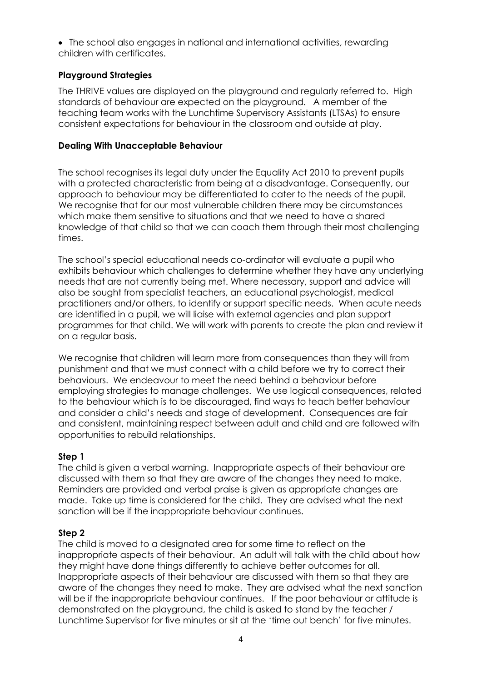The school also engages in national and international activities, rewarding children with certificates.

# Playground Strategies

The THRIVE values are displayed on the playground and regularly referred to. High standards of behaviour are expected on the playground. A member of the teaching team works with the Lunchtime Supervisory Assistants (LTSAs) to ensure consistent expectations for behaviour in the classroom and outside at play.

# Dealing With Unacceptable Behaviour

The school recognises its legal duty under the Equality Act 2010 to prevent pupils with a protected characteristic from being at a disadvantage. Consequently, our approach to behaviour may be differentiated to cater to the needs of the pupil. We recognise that for our most vulnerable children there may be circumstances which make them sensitive to situations and that we need to have a shared knowledge of that child so that we can coach them through their most challenging times.

The school's special educational needs co-ordinator will evaluate a pupil who exhibits behaviour which challenges to determine whether they have any underlying needs that are not currently being met. Where necessary, support and advice will also be sought from specialist teachers, an educational psychologist, medical practitioners and/or others, to identify or support specific needs. When acute needs are identified in a pupil, we will liaise with external agencies and plan support programmes for that child. We will work with parents to create the plan and review it on a regular basis.

We recognise that children will learn more from consequences than they will from punishment and that we must connect with a child before we try to correct their behaviours. We endeavour to meet the need behind a behaviour before employing strategies to manage challenges. We use logical consequences, related to the behaviour which is to be discouraged, find ways to teach better behaviour and consider a child's needs and stage of development. Consequences are fair and consistent, maintaining respect between adult and child and are followed with opportunities to rebuild relationships.

# Step 1

The child is given a verbal warning. Inappropriate aspects of their behaviour are discussed with them so that they are aware of the changes they need to make. Reminders are provided and verbal praise is given as appropriate changes are made. Take up time is considered for the child. They are advised what the next sanction will be if the inappropriate behaviour continues.

# Step 2

The child is moved to a designated area for some time to reflect on the inappropriate aspects of their behaviour. An adult will talk with the child about how they might have done things differently to achieve better outcomes for all. Inappropriate aspects of their behaviour are discussed with them so that they are aware of the changes they need to make. They are advised what the next sanction will be if the inappropriate behaviour continues. If the poor behaviour or attitude is demonstrated on the playground, the child is asked to stand by the teacher / Lunchtime Supervisor for five minutes or sit at the 'time out bench' for five minutes.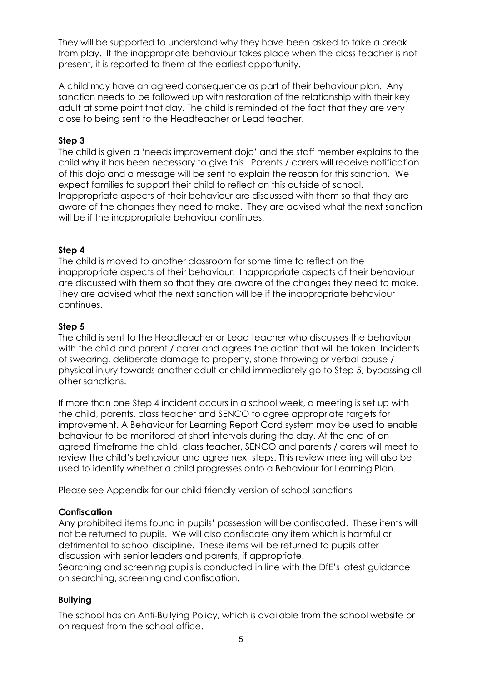They will be supported to understand why they have been asked to take a break from play. If the inappropriate behaviour takes place when the class teacher is not present, it is reported to them at the earliest opportunity.

A child may have an agreed consequence as part of their behaviour plan. Any sanction needs to be followed up with restoration of the relationship with their key adult at some point that day. The child is reminded of the fact that they are very close to being sent to the Headteacher or Lead teacher.

#### Step 3

The child is given a 'needs improvement dojo' and the staff member explains to the child why it has been necessary to give this. Parents / carers will receive notification of this dojo and a message will be sent to explain the reason for this sanction. We expect families to support their child to reflect on this outside of school. Inappropriate aspects of their behaviour are discussed with them so that they are aware of the changes they need to make. They are advised what the next sanction will be if the inappropriate behaviour continues.

#### Step 4

The child is moved to another classroom for some time to reflect on the inappropriate aspects of their behaviour. Inappropriate aspects of their behaviour are discussed with them so that they are aware of the changes they need to make. They are advised what the next sanction will be if the inappropriate behaviour continues.

#### Step 5

The child is sent to the Headteacher or Lead teacher who discusses the behaviour with the child and parent / carer and agrees the action that will be taken. Incidents of swearing, deliberate damage to property, stone throwing or verbal abuse / physical injury towards another adult or child immediately go to Step 5, bypassing all other sanctions.

If more than one Step 4 incident occurs in a school week, a meeting is set up with the child, parents, class teacher and SENCO to agree appropriate targets for improvement. A Behaviour for Learning Report Card system may be used to enable behaviour to be monitored at short intervals during the day. At the end of an agreed timeframe the child, class teacher, SENCO and parents / carers will meet to review the child's behaviour and agree next steps. This review meeting will also be used to identify whether a child progresses onto a Behaviour for Learning Plan.

Please see Appendix for our child friendly version of school sanctions

# **Confiscation**

Any prohibited items found in pupils' possession will be confiscated. These items will not be returned to pupils. We will also confiscate any item which is harmful or detrimental to school discipline. These items will be returned to pupils after discussion with senior leaders and parents, if appropriate.

Searching and screening pupils is conducted in line with the DfE's latest guidance on searching, screening and confiscation.

# Bullying

The school has an Anti-Bullying Policy, which is available from the school website or on request from the school office.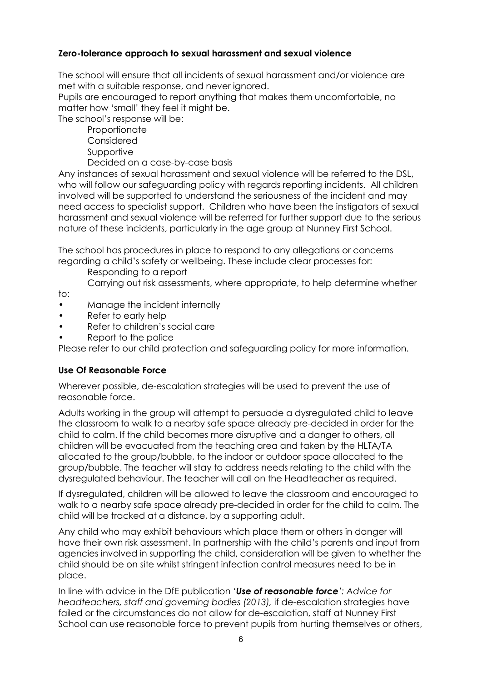# Zero-tolerance approach to sexual harassment and sexual violence

The school will ensure that all incidents of sexual harassment and/or violence are met with a suitable response, and never ignored.

Pupils are encouraged to report anything that makes them uncomfortable, no matter how 'small' they feel it might be.

The school's response will be:

- Proportionate Considered
- 
- Supportive
- Decided on a case-by-case basis

Any instances of sexual harassment and sexual violence will be referred to the DSL, who will follow our safeguarding policy with regards reporting incidents. All children involved will be supported to understand the seriousness of the incident and may need access to specialist support. Children who have been the instigators of sexual harassment and sexual violence will be referred for further support due to the serious nature of these incidents, particularly in the age group at Nunney First School.

The school has procedures in place to respond to any allegations or concerns regarding a child's safety or wellbeing. These include clear processes for:

Responding to a report

Carrying out risk assessments, where appropriate, to help determine whether

to:

- Manage the incident internally
- Refer to early help
- Refer to children's social care
- Report to the police

Please refer to our child protection and safeguarding policy for more information.

# Use Of Reasonable Force

Wherever possible, de-escalation strategies will be used to prevent the use of reasonable force.

Adults working in the group will attempt to persuade a dysregulated child to leave the classroom to walk to a nearby safe space already pre-decided in order for the child to calm. If the child becomes more disruptive and a danger to others, all children will be evacuated from the teaching area and taken by the HLTA/TA allocated to the group/bubble, to the indoor or outdoor space allocated to the group/bubble. The teacher will stay to address needs relating to the child with the dysregulated behaviour. The teacher will call on the Headteacher as required.

If dysregulated, children will be allowed to leave the classroom and encouraged to walk to a nearby safe space already pre-decided in order for the child to calm. The child will be tracked at a distance, by a supporting adult.

Any child who may exhibit behaviours which place them or others in danger will have their own risk assessment. In partnership with the child's parents and input from agencies involved in supporting the child, consideration will be given to whether the child should be on site whilst stringent infection control measures need to be in place.

In line with advice in the DfE publication 'Use of reasonable force': Advice for headteachers, staff and governing bodies (2013), if de-escalation strategies have failed or the circumstances do not allow for de-escalation, staff at Nunney First School can use reasonable force to prevent pupils from hurting themselves or others,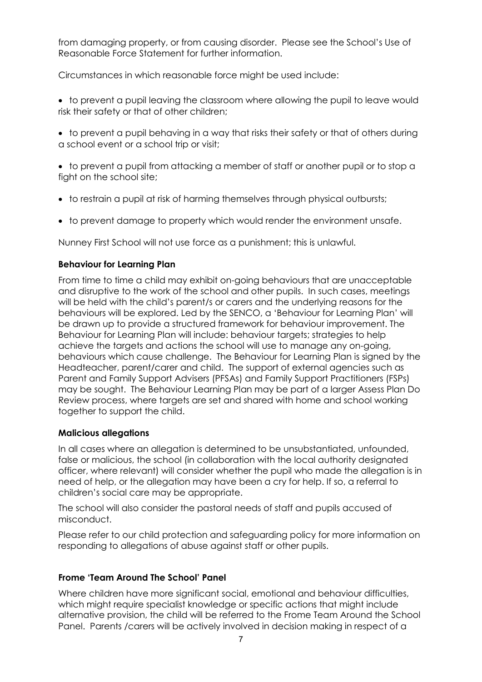from damaging property, or from causing disorder. Please see the School's Use of Reasonable Force Statement for further information.

Circumstances in which reasonable force might be used include:

 to prevent a pupil leaving the classroom where allowing the pupil to leave would risk their safety or that of other children;

• to prevent a pupil behaving in a way that risks their safety or that of others during a school event or a school trip or visit;

 to prevent a pupil from attacking a member of staff or another pupil or to stop a fight on the school site;

- to restrain a pupil at risk of harming themselves through physical outbursts;
- to prevent damage to property which would render the environment unsafe.

Nunney First School will not use force as a punishment; this is unlawful.

# Behaviour for Learning Plan

From time to time a child may exhibit on-going behaviours that are unacceptable and disruptive to the work of the school and other pupils. In such cases, meetings will be held with the child's parent/s or carers and the underlying reasons for the behaviours will be explored. Led by the SENCO, a 'Behaviour for Learning Plan' will be drawn up to provide a structured framework for behaviour improvement. The Behaviour for Learning Plan will include: behaviour targets; strategies to help achieve the targets and actions the school will use to manage any on-going, behaviours which cause challenge. The Behaviour for Learning Plan is signed by the Headteacher, parent/carer and child. The support of external agencies such as Parent and Family Support Advisers (PFSAs) and Family Support Practitioners (FSPs) may be sought. The Behaviour Learning Plan may be part of a larger Assess Plan Do Review process, where targets are set and shared with home and school working together to support the child.

# Malicious allegations

In all cases where an allegation is determined to be unsubstantiated, unfounded, false or malicious, the school (in collaboration with the local authority designated officer, where relevant) will consider whether the pupil who made the allegation is in need of help, or the allegation may have been a cry for help. If so, a referral to children's social care may be appropriate.

The school will also consider the pastoral needs of staff and pupils accused of misconduct.

Please refer to our child protection and safeguarding policy for more information on responding to allegations of abuse against staff or other pupils.

# Frome 'Team Around The School' Panel

Where children have more significant social, emotional and behaviour difficulties, which might require specialist knowledge or specific actions that might include alternative provision, the child will be referred to the Frome Team Around the School Panel. Parents /carers will be actively involved in decision making in respect of a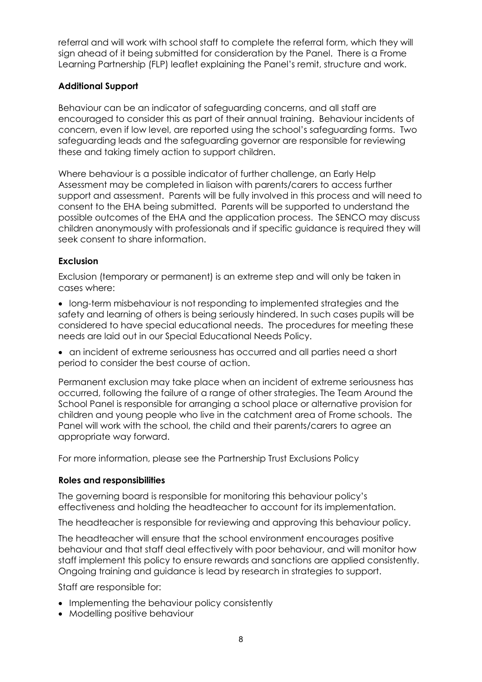referral and will work with school staff to complete the referral form, which they will sign ahead of it being submitted for consideration by the Panel. There is a Frome Learning Partnership (FLP) leaflet explaining the Panel's remit, structure and work.

# Additional Support

Behaviour can be an indicator of safeguarding concerns, and all staff are encouraged to consider this as part of their annual training. Behaviour incidents of concern, even if low level, are reported using the school's safeguarding forms. Two safeguarding leads and the safeguarding governor are responsible for reviewing these and taking timely action to support children.

Where behaviour is a possible indicator of further challenge, an Early Help Assessment may be completed in liaison with parents/carers to access further support and assessment. Parents will be fully involved in this process and will need to consent to the EHA being submitted. Parents will be supported to understand the possible outcomes of the EHA and the application process. The SENCO may discuss children anonymously with professionals and if specific guidance is required they will seek consent to share information.

# Exclusion

Exclusion (temporary or permanent) is an extreme step and will only be taken in cases where:

- long-term misbehaviour is not responding to implemented strategies and the safety and learning of others is being seriously hindered. In such cases pupils will be considered to have special educational needs. The procedures for meeting these needs are laid out in our Special Educational Needs Policy.
- an incident of extreme seriousness has occurred and all parties need a short period to consider the best course of action.

Permanent exclusion may take place when an incident of extreme seriousness has occurred, following the failure of a range of other strategies. The Team Around the School Panel is responsible for arranging a school place or alternative provision for children and young people who live in the catchment area of Frome schools. The Panel will work with the school, the child and their parents/carers to agree an appropriate way forward.

For more information, please see the Partnership Trust Exclusions Policy

# Roles and responsibilities

The governing board is responsible for monitoring this behaviour policy's effectiveness and holding the headteacher to account for its implementation.

The headteacher is responsible for reviewing and approving this behaviour policy.

The headteacher will ensure that the school environment encourages positive behaviour and that staff deal effectively with poor behaviour, and will monitor how staff implement this policy to ensure rewards and sanctions are applied consistently. Ongoing training and guidance is lead by research in strategies to support.

Staff are responsible for:

- Implementing the behaviour policy consistently
- Modelling positive behaviour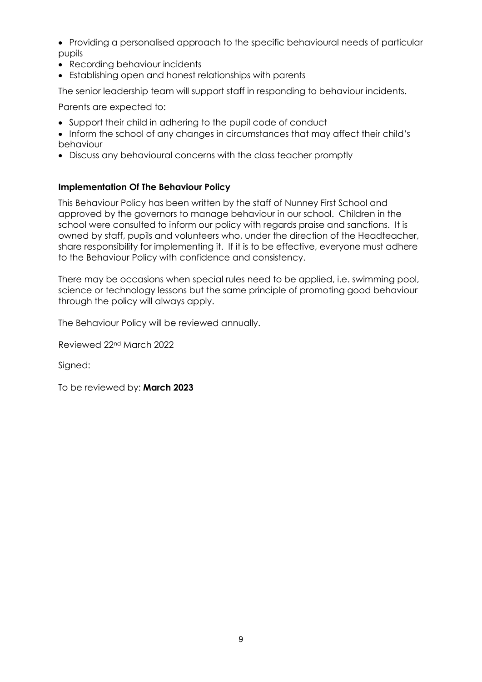- Providing a personalised approach to the specific behavioural needs of particular pupils
- Recording behaviour incidents
- Establishing open and honest relationships with parents

The senior leadership team will support staff in responding to behaviour incidents.

Parents are expected to:

- Support their child in adhering to the pupil code of conduct
- Inform the school of any changes in circumstances that may affect their child's behaviour
- Discuss any behavioural concerns with the class teacher promptly

# Implementation Of The Behaviour Policy

This Behaviour Policy has been written by the staff of Nunney First School and approved by the governors to manage behaviour in our school. Children in the school were consulted to inform our policy with regards praise and sanctions. It is owned by staff, pupils and volunteers who, under the direction of the Headteacher, share responsibility for implementing it. If it is to be effective, everyone must adhere to the Behaviour Policy with confidence and consistency.

There may be occasions when special rules need to be applied, i.e. swimming pool, science or technology lessons but the same principle of promoting good behaviour through the policy will always apply.

The Behaviour Policy will be reviewed annually.

Reviewed 22nd March 2022

Signed:

To be reviewed by: March 2023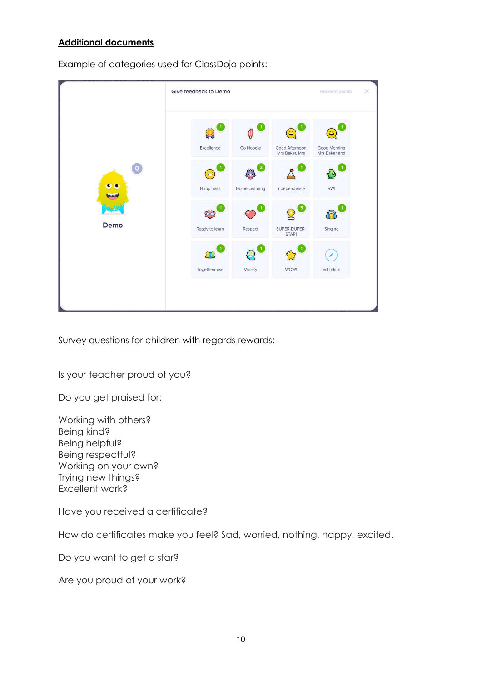# Additional documents

Example of categories used for ClassDojo points:

| $\overline{0}$<br>Demo | Give feedback to Demo |               |                                  | <b>Redeem points</b>          | $\times$ |
|------------------------|-----------------------|---------------|----------------------------------|-------------------------------|----------|
|                        | Excellence            | Go Noodle     | Good Afternoon<br>Mrs Baker, Mrs | Good Morning<br>Mrs Baker and |          |
|                        | Happiness             | Home Learning | Independence                     | RWI                           |          |
|                        | Ready to learn        | Respect       | 5<br>SUPER-DUPER-<br>STAR!       | Singing                       |          |
|                        | Togetherness          | Variety       | WOW!                             | Edit skills                   |          |
|                        |                       |               |                                  |                               |          |

Survey questions for children with regards rewards:

Is your teacher proud of you?

Do you get praised for:

Working with others? Being kind? Being helpful? Being respectful? Working on your own? Trying new things? Excellent work?

Have you received a certificate?

How do certificates make you feel? Sad, worried, nothing, happy, excited.

Do you want to get a star?

Are you proud of your work?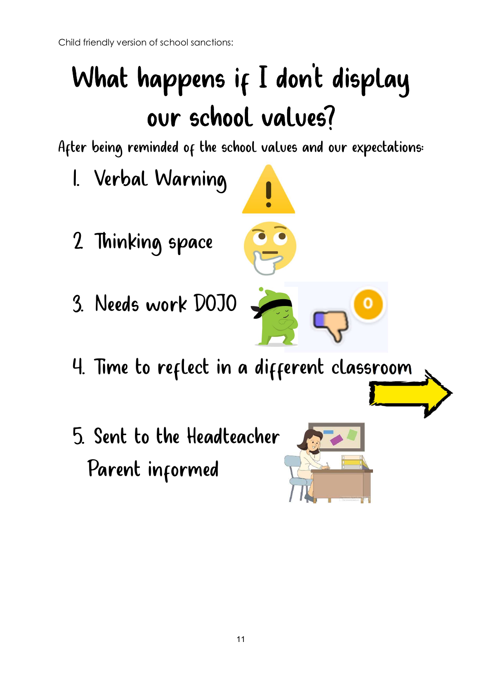# What happens if I don't display our school values?

After being reminded of the school values and our expectations:

- 1. Verbal Warning
- 2. Thinking space
- 3. Needs work DOJO
- 4. Time to reflect in a different classroom
- 5. Sent to the Headteacher Parent informed